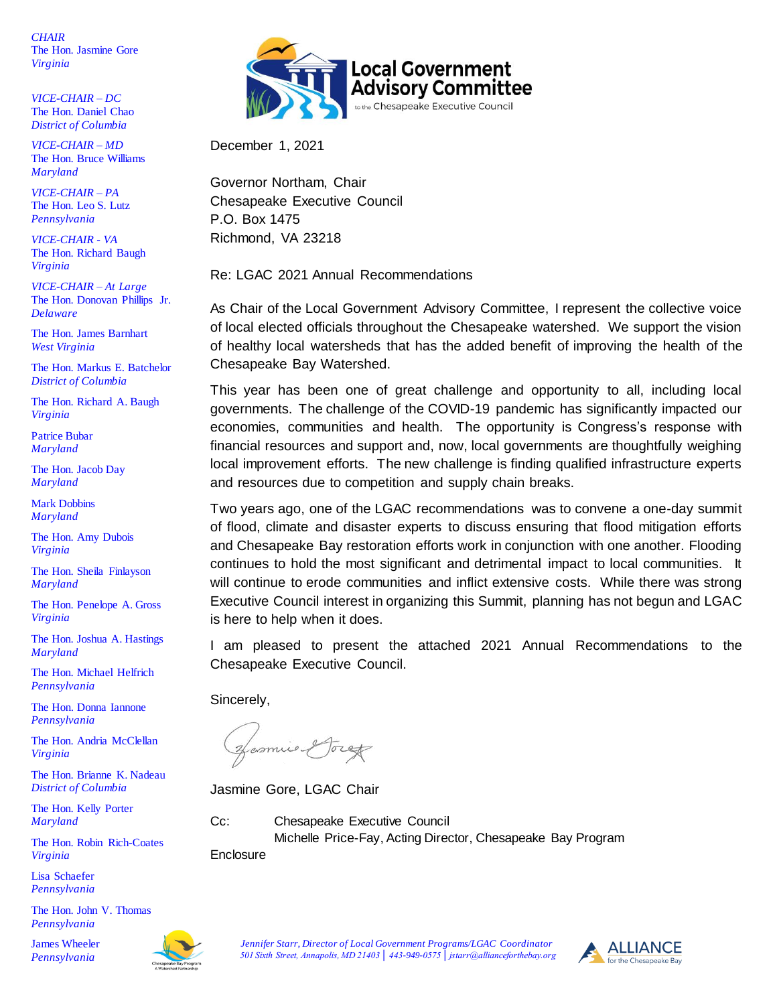*CHAIR* The Hon. Jasmine Gore *Virginia*

*VICE-CHAIR – DC* The Hon. Daniel Chao *District of Columbia* 

*VICE-CHAIR – MD* The Hon. Bruce Williams *Maryland*

*VICE-CHAIR – PA* The Hon. Leo S. Lutz *Pennsylvania*

*VICE-CHAIR - VA* The Hon. Richard Baugh *Virginia*

*VICE-CHAIR – At Large* The Hon. Donovan Phillips Jr. *Delaware*

The Hon. James Barnhart *West Virginia*

The Hon. Markus E. Batchelor *District of Columbia* 

The Hon. Richard A. Baugh *Virginia*

Patrice Bubar *Maryland*

The Hon. Jacob Day *Maryland*

Mark Dobbins *Maryland*

The Hon. Amy Dubois *Virginia*

The Hon. Sheila Finlayson *Maryland*

The Hon. Penelope A. Gross *Virginia*

The Hon. Joshua A. Hastings *Maryland*

The Hon. Michael Helfrich *Pennsylvania*

The Hon. Donna Iannone *Pennsylvania*

The Hon. Andria McClellan *Virginia*

The Hon. Brianne K. Nadeau *District of Columbia* 

The Hon. Kelly Porter *Maryland*

The Hon. Robin Rich-Coates *Virginia*

Lisa Schaefer *Pennsylvania*

The Hon. John V. Thomas *Pennsylvania*

James Wheeler *Pennsylvania* 





December 1, 2021

Governor Northam, Chair Chesapeake Executive Council P.O. Box 1475 Richmond, VA 23218

Re: LGAC 2021 Annual Recommendations

As Chair of the Local Government Advisory Committee, I represent the collective voice of local elected officials throughout the Chesapeake watershed. We support the vision of healthy local watersheds that has the added benefit of improving the health of the Chesapeake Bay Watershed.

This year has been one of great challenge and opportunity to all, including local governments. The challenge of the COVID-19 pandemic has significantly impacted our economies, communities and health. The opportunity is Congress's response with financial resources and support and, now, local governments are thoughtfully weighing local improvement efforts. The new challenge is finding qualified infrastructure experts and resources due to competition and supply chain breaks.

Two years ago, one of the LGAC recommendations was to convene a one-day summit of flood, climate and disaster experts to discuss ensuring that flood mitigation efforts and Chesapeake Bay restoration efforts work in conjunction with one another. Flooding continues to hold the most significant and detrimental impact to local communities. It will continue to erode communities and inflict extensive costs. While there was strong Executive Council interest in organizing this Summit, planning has not begun and LGAC is here to help when it does.

I am pleased to present the attached 2021 Annual Recommendations to the Chesapeake Executive Council.

Sincerely,

Hosmie Greg

Jasmine Gore, LGAC Chair

Cc: Chesapeake Executive Council Michelle Price-Fay, Acting Director, Chesapeake Bay Program

**Enclosure** 



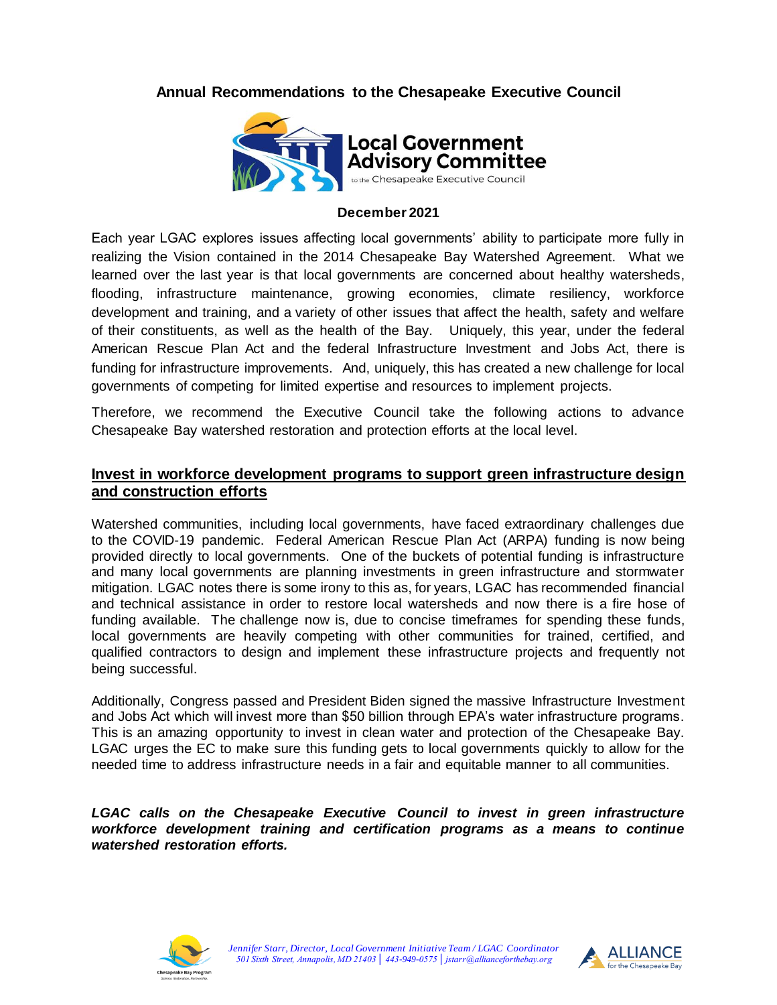## **Annual Recommendations to the Chesapeake Executive Council**



#### **December 2021**

Each year LGAC explores issues affecting local governments' ability to participate more fully in realizing the Vision contained in the 2014 Chesapeake Bay Watershed Agreement. What we learned over the last year is that local governments are concerned about healthy watersheds, flooding, infrastructure maintenance, growing economies, climate resiliency, workforce development and training, and a variety of other issues that affect the health, safety and welfare of their constituents, as well as the health of the Bay. Uniquely, this year, under the federal American Rescue Plan Act and the federal Infrastructure Investment and Jobs Act, there is funding for infrastructure improvements. And, uniquely, this has created a new challenge for local governments of competing for limited expertise and resources to implement projects.

Therefore, we recommend the Executive Council take the following actions to advance Chesapeake Bay watershed restoration and protection efforts at the local level.

### **Invest in workforce development programs to support green infrastructure design and construction efforts**

Watershed communities, including local governments, have faced extraordinary challenges due to the COVID-19 pandemic. Federal American Rescue Plan Act (ARPA) funding is now being provided directly to local governments. One of the buckets of potential funding is infrastructure and many local governments are planning investments in green infrastructure and stormwater mitigation. LGAC notes there is some irony to this as, for years, LGAC has recommended financial and technical assistance in order to restore local watersheds and now there is a fire hose of funding available. The challenge now is, due to concise timeframes for spending these funds, local governments are heavily competing with other communities for trained, certified, and qualified contractors to design and implement these infrastructure projects and frequently not being successful.

Additionally, Congress passed and President Biden signed the massive Infrastructure Investment and Jobs Act which will invest more than \$50 billion through EPA's water infrastructure programs. This is an amazing opportunity to invest in clean water and protection of the Chesapeake Bay. LGAC urges the EC to make sure this funding gets to local governments quickly to allow for the needed time to address infrastructure needs in a fair and equitable manner to all communities.

LGAC calls on the Chesapeake Executive Council to invest in green infrastructure *workforce development training and certification programs as a means to continue watershed restoration efforts.*